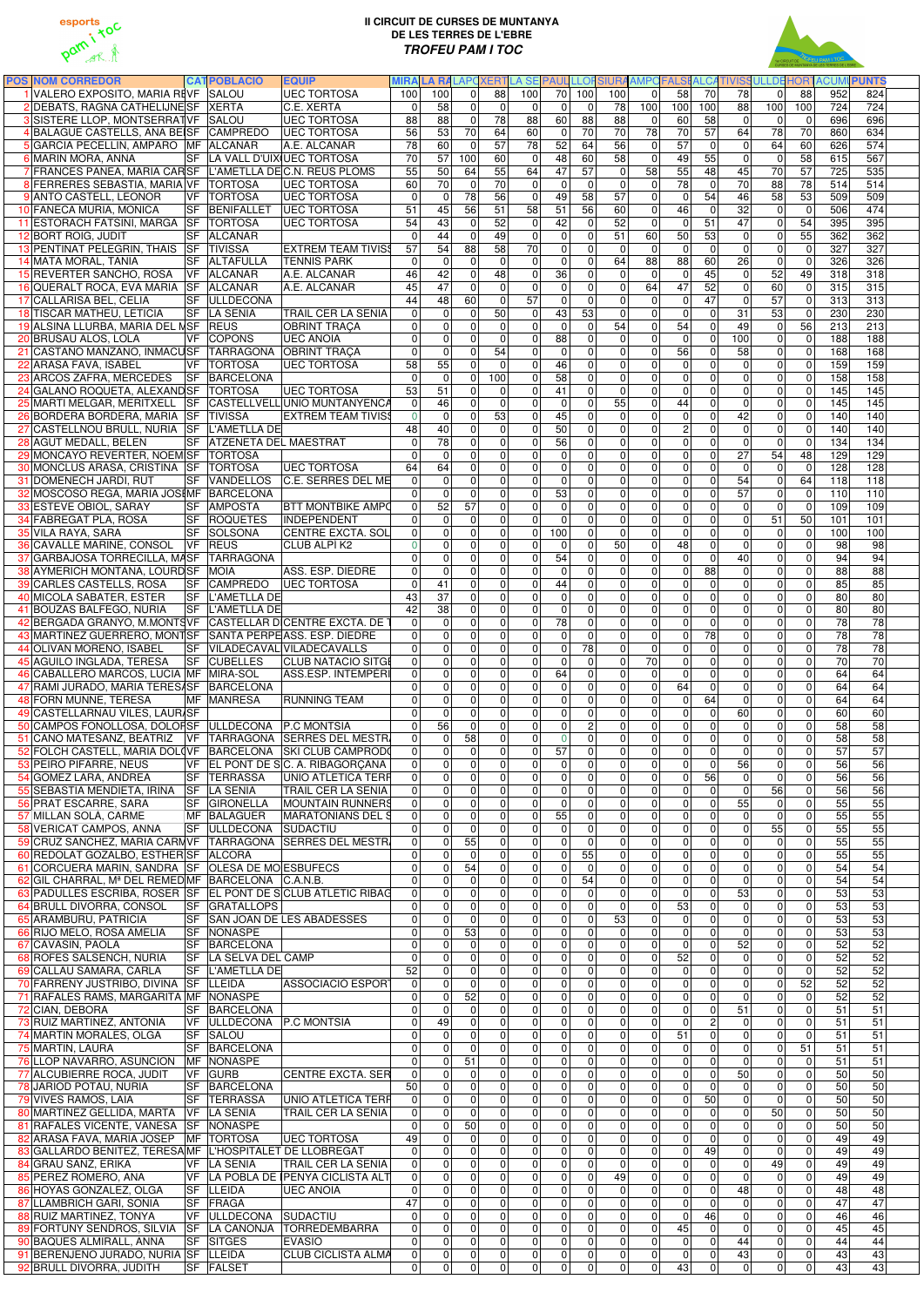

## **II CIRCUIT DE CURSES DE MUNTANYA DE LES TERRES DE L'EBRE TROFEU PAM I TOC**



| <b>POS NOM CORREDOR</b>                                                                              |           | <b>CATPOBLACIÓ</b>                             | <b>EQUIP</b>                         | <b>MIRA</b>                   | <b>LARA</b>                |                                | <b>LAPC XERT</b>           | <b>LA SE PAUL</b>          |                      | <b>LLOF</b>                                  | <b>SIURAAMPCFAI</b>                  |                             |                                  |                                  | <b>ALCATIVISS ULLDE</b> | HOB.                 | <b>ACUMU</b>    | <b>PUNTS</b>          |  |
|------------------------------------------------------------------------------------------------------|-----------|------------------------------------------------|--------------------------------------|-------------------------------|----------------------------|--------------------------------|----------------------------|----------------------------|----------------------|----------------------------------------------|--------------------------------------|-----------------------------|----------------------------------|----------------------------------|-------------------------|----------------------|-----------------|-----------------------|--|
| 1 VALERO EXPOSITO, MARIA REVF SALOU                                                                  |           |                                                | <b>UEC TORTOSA</b>                   | 100                           | 100                        | 0                              | 88                         | 100                        | 70                   | 100<br>100                                   | $\Omega$                             | 58                          | 70                               | 78                               | $\Omega$                | 88                   | 952             | 824                   |  |
| 2 DEBATS, RAGNA CATHELIJNESF XERTA                                                                   |           |                                                | C.E. XERTA                           | $\mathbf 0$                   | 58                         | $\Omega$                       | $\mathbf 0$                | $\mathbf{0}$               | $\mathbf{0}$         | $\Omega$<br>78                               | 100                                  | 100                         | 100                              | 88                               | 100                     | 100                  | 724             | 724                   |  |
| 3 SISTERE LLOP, MONTSERRAT VF SALOU                                                                  |           |                                                | <b>UEC TORTOSA</b>                   | 88                            | 88                         | $\mathbf 0$                    | 78                         | 88                         | 60                   | 88<br>88                                     | 0                                    | 60                          | 58                               | $\boldsymbol{0}$                 | $\Omega$                | $\mathbf 0$          | 696             | 696                   |  |
| 4 BALAGUE CASTELLS, ANA BEISF CAMPREDO                                                               |           |                                                | <b>UEC TORTOSA</b>                   | 56                            | 53                         | 70                             | 64                         | 60                         | $\mathbf 0$          | 70<br>70                                     | 78                                   | 70                          | 57                               | 64                               | 78                      | 70                   | 860             | 634                   |  |
| 5 GARCIA PECELLIN, AMPARO MF ALCANAR                                                                 |           |                                                | A.E. ALCANAR                         | 78                            | 60                         | $\mathbf 0$                    | 57                         | 78                         | 52                   | 56<br>64                                     | $\mathbf 0$                          | 57                          | $\mathbf 0$                      | $\pmb{0}$                        | 64                      | 60                   | 626             | 574                   |  |
| 6 MARIN MORA, ANNA<br>7 FRANCES PANEA, MARIA CARSF L'AMETLLA DEC.N. REUS PLOMS                       |           |                                                | SF LA VALL D'UIXUEC TORTOSA          | 70<br>55                      | 57<br>50                   | 100<br>64                      | 60<br>55                   | $\Omega$<br>64             | 48<br>47             | 60<br>58<br>57<br>$\mathbf 0$                | $\mathbf 0$<br>$\overline{58}$       | 49<br>55                    | 55<br>48                         | $\pmb{0}$<br>45                  | $\mathbf 0$<br>70       | 58<br>57             | 615<br>725      | 567<br>535            |  |
| 8 FERRERES SEBASTIA, MARIA VF                                                                        |           | <b>TORTOSA</b>                                 | <b>UEC TORTOSA</b>                   | 60                            | 70                         | $\mathbf 0$                    | 70                         | $\Omega$                   | $\Omega$             | $\Omega$<br>$\mathbf 0$                      | $\mathbf 0$                          | 78                          | $\Omega$                         | 70                               | 88                      | 78                   | 514             | 514                   |  |
| 9 ANTO CASTELL, LEONOR                                                                               | VF        | <b>TORTOSA</b>                                 | <b>UEC TORTOSA</b>                   | $\mathbf 0$                   | 0                          | 78                             | 56                         | $\mathbf 0$                | 49                   | 57<br>58                                     | $\mathbf 0$                          | $\mathbf 0$                 | 54                               | 46                               | 58                      | 53                   | 509             | 509                   |  |
| 10 FANECA MURIA, MONICA                                                                              | <b>SF</b> | <b>BENIFALLET</b>                              | <b>UEC TORTOSA</b>                   | 51                            | 45                         | 56                             | 51                         | 58                         | 51                   | 56<br>60                                     | $\pmb{0}$                            | 46                          | $\mathbf 0$                      | 32                               | $\Omega$                | $\mathbf 0$          | 506             | 474                   |  |
| 11 ESTORACH FATSINI, MARGA SF                                                                        |           | <b>TORTOSA</b>                                 | <b>UEC TORTOSA</b>                   | 54                            | 43                         | $\mathbf 0$                    | 52                         | $\mathbf 0$                | 42                   | 52<br>$\overline{0}$                         | $\mathbf 0$                          | $\mathbf 0$                 | 51                               | 47                               | $\mathbf 0$             | 54                   | 395             | 395                   |  |
| 12 BORT ROIG, JUDIT                                                                                  |           | SF ALCANAR                                     |                                      | $\mathbf{0}$                  | 44                         | $\mathbf 0$                    | 49                         | $\mathbf 0$                | $\Omega$             | $\Omega$<br>51                               | 60                                   | 50                          | 53                               | $\pmb{0}$                        | $\Omega$                | 55                   | 362             | 362                   |  |
| 13 PENTINAT PELEGRIN, THAIS                                                                          | <b>SF</b> | <b>TIVISSA</b>                                 | <b>EXTREM TEAM TIVISS</b>            | 57                            | 54                         | 88                             | 58                         | $\overline{70}$            | $\mathbf{0}$         | $\Omega$<br>$\mathbf 0$                      | $\mathbf 0$                          | $\mathbf 0$                 | $\Omega$                         | $\pmb{0}$                        | $\Omega$                | $\mathbf{0}$         | 327             | 327                   |  |
| 14 MATA MORAL, TANIA                                                                                 |           | <b>SF ALTAFULLA</b>                            | <b>TENNIS PARK</b>                   | $\mathbf{0}$                  | $\mathbf 0$                | $\Omega$                       | $\mathbf{0}$               | $\Omega$                   | $\mathbf{0}$         | 64<br>$\Omega$                               | 88                                   | 88                          | 60                               | 26                               | $\Omega$                | $\mathbf{0}$         | 326             | 326                   |  |
| 15 REVERTER SANCHO, ROSA                                                                             | <b>VF</b> | <b>ALCANAR</b>                                 | A.E. ALCANAR                         | 46                            | 42                         | $\overline{0}$                 | 48                         | $\mathbf{0}$               | 36                   | $\Omega$<br>$\Omega$                         | $\Omega$                             | $\Omega$                    | 45                               | $\Omega$                         | 52                      | 49                   | 318             | 318                   |  |
| 16 QUERALT ROCA, EVA MARIA SF                                                                        |           | <b>ALCANAR</b>                                 | A.E. ALCANAR                         | 45                            | 47                         | $\mathbf 0$                    | $\mathbf 0$                | $\mathbf 0$                | $\Omega$             | $\Omega$<br>$\mathbf 0$                      | 64                                   | $\overline{47}$             | 52                               | $\mathbf 0$                      | 60                      | $\mathbf{0}$         | 315             | 315                   |  |
| 17 CALLARISA BEL, CELIA                                                                              | <b>SF</b> | <b>ULLDECONA</b>                               |                                      | $\overline{44}$               | 48                         | 60                             | $\mathbf 0$                | $\overline{57}$            | $\Omega$             | $\overline{0}$<br>$\mathbf 0$                | $\mathbf 0$                          | $\mathbf 0$                 | 47                               | $\mathbf 0$                      | 57                      | $\mathbf{0}$         | 313             | 313                   |  |
| 18 TISCAR MATHEU, LETICIA                                                                            | <b>SF</b> | <b>LA SENIA</b>                                | <b>TRAIL CER LA SENIA</b>            | $\Omega$                      | $\overline{0}$             | $\Omega$                       | 50                         | $\mathbf 0$                | 43                   | 53<br>$\mathbf 0$                            | $\overline{0}$                       | $\mathbf 0$                 | $\Omega$                         | 31                               | $\overline{53}$         | $\mathbf{0}$         | 230             | 230                   |  |
| 19 ALSINA LLURBA, MARIA DEL NSF                                                                      |           | <b>REUS</b>                                    | <b>OBRINT TRACA</b>                  | $\Omega$                      | $\Omega$                   | $\Omega$                       | $\mathbf 0$                | $\mathbf 0$                | $\mathbf 0$          | 54<br>$\Omega$                               | $\mathbf 0$                          | $\overline{54}$             | $\overline{0}$                   | 49                               | $\mathbf 0$             | 56                   | 213             | 213                   |  |
| 20 BRUSAU ALOS, LOLA                                                                                 | VF        | <b>COPONS</b>                                  | <b>UEC ANOIA</b>                     | $\Omega$                      | $\mathbf 0$                | $\Omega$                       | $\mathbf{0}$               | $\mathbf 0$                | 88                   | $\overline{0}$<br>$\mathbf 0$                | $\overline{0}$                       | $\mathbf 0$                 | $\overline{0}$                   | 100                              | $\mathbf 0$             | $\Omega$             | 188             | 188                   |  |
| 21 CASTAÑO MANZANO, INMACUSF                                                                         |           | TARRAGONA                                      | <b>OBRINT TRACA</b>                  | $\mathbf{0}$                  | $\Omega$                   | $\overline{0}$                 | 54                         | $\mathbf 0$                | $\Omega$             | 0 <br>$\mathbf 0$                            | $\pmb{0}$                            | $\overline{56}$             | $\Omega$                         | 58                               | 0                       | $\Omega$             | 168             | 168                   |  |
| 22 ARASA FAVA, ISABEL                                                                                | VF        | <b>TORTOSA</b>                                 | <b>UEC TORTOSA</b>                   | 58                            | 55                         | $\Omega$                       | $\mathbf 0$                | $\mathbf 0$                | 46                   | 0 <br>$\mathbf 0$                            | $\pmb{0}$                            | $\mathbf 0$                 | $\overline{0}$                   | $\pmb{0}$                        | $\mathbf 0$             | $\mathbf{0}$         | 159             | 159                   |  |
| 23 ARCOS ZAFRA, MERCEDES                                                                             | <b>SF</b> | BARCELONA                                      |                                      | $\mathbf{0}$                  | $\mathbf 0$                | $\overline{0}$                 | 100                        | $\mathbf 0$                | 58                   | $\overline{\mathsf{o}}$<br> 0                | $\overline{\mathsf{o}}$              | $\mathbf 0$                 | $\overline{0}$                   | $\overline{0}$                   | $\mathbf 0$             | $\mathbf 0$          | 158             | 158                   |  |
| 24 GALANO ROQUETA, ALEXAND SF                                                                        |           | <b>TORTOSA</b>                                 | <b>UEC TORTOSA</b>                   | 53                            | 51                         | $\Omega$                       | $\Omega$                   | $\mathbf 0$                | 41                   | $\mathbf 0$<br> 0                            | $\mathbf 0$                          | $\overline{0}$              | $\overline{0}$                   | $\pmb{0}$                        | $\mathbf 0$             | $\mathbf 0$          | 145             | 145                   |  |
| 25 MARTI MELGAR, MERITXELL SF                                                                        |           |                                                | CASTELLVELL UNIO MUNTANYENCA         | $\mathbf 0$                   | 46                         | $\mathbf 0$                    | $\overline{0}$             | $\Omega$                   | $\mathbf 0$          | 55<br> 0                                     | $\pmb{0}$                            | 44                          | $\overline{0}$                   | $\pmb{0}$                        | $\mathbf 0$             | $\mathbf 0$          | 145             | 145                   |  |
| 26 BORDERA BORDERA, MARIA SF                                                                         |           | <b>TIVISSA</b>                                 | <b>EXTREM TEAM TIVISS</b>            | $\overline{0}$                | 0                          | $\mathbf 0$                    | 53                         | $\mathbf 0$                | 45                   | 0 <br>$\mathbf 0$                            | $\mathbf 0$                          | $\overline{0}$              | $\overline{0}$                   | 42                               | $\mathbf 0$             | $\mathbf 0$          | 140             | 140                   |  |
| 27 CASTELLNOU BRULL, NURIA SF                                                                        |           | L'AMETLLA DE                                   |                                      | 48                            | 40<br>$\overline{78}$      | $\overline{0}$                 | $\mathbf{0}$               | $\overline{0}$             | 50                   | $\overline{0}$<br>$\mathbf 0$                | $\mathbf 0$                          | $\overline{c}$              | $\overline{0}$                   | $\mathbf 0$                      | $\mathbf 0$             | $\mathbf 0$          | 140             | 140<br>134            |  |
| 28 AGUT MEDALL, BELEN<br>29 MONCAYO REVERTER, NOEM SF                                                | SF        | <b>ATZENETA DEL MAESTRAT</b><br><b>TORTOSA</b> |                                      | $\mathbf 0$<br>$\Omega$       | 0                          | $\mathbf 0$<br>$\mathbf 0$     | $\mathbf 0$<br>$\mathbf 0$ | $\mathbf 0$<br>0           | 56<br>$\mathbf 0$    | 0 <br>$\mathbf 0$<br> 0 <br>$\mathbf 0$      | $\pmb{0}$<br>$\pmb{0}$               | $\pmb{0}$<br>$\mathbf 0$    | $\overline{0}$<br>$\overline{0}$ | $\mathbf 0$<br>27                | $\Omega$<br>54          | 0<br>48              | 134<br>129      | 129                   |  |
| 30 MONCLUS ARASA, CRISTINA SF                                                                        |           | <b>TORTOSA</b>                                 | <b>UEC TORTOSA</b>                   | 64                            | 64                         | $\mathbf 0$                    | $\overline{0}$             | $\mathbf 0$                | $\mathbf 0$          | $\mathbf 0$<br> 0                            | $\overline{\mathsf{o}}$              | $\mathbf 0$                 | $\mathbf{0}$                     | $\boldsymbol{0}$                 | $\mathbf 0$             | $\mathbf 0$          | 128             | 128                   |  |
| 31 DOMENECH JARDI, RUT                                                                               | <b>SF</b> | <b>VANDELLOS</b>                               | C.E. SERRES DEL ME                   | $\mathbf 0$                   | $\mathbf 0$                | 0                              | $\mathbf 0$                | $\mathbf 0$                | $\mathbf 0$          | $\overline{0}$<br>$\mathbf 0$                | $\overline{0}$                       | $\mathbf 0$                 | $\overline{0}$                   | 54                               | $\mathbf 0$             | 64                   | 118             | 118                   |  |
| 32 MOSCOSO REGA, MARIA JOSI MF                                                                       |           | BARCELONA                                      |                                      | $\Omega$                      | $\mathbf 0$                | $\mathbf 0$                    | $\mathbf 0$                | $\mathbf 0$                | 53                   | 0 <br>$\mathbf 0$                            | $\pmb{0}$                            | 0                           | $\mathbf 0$                      | 57                               | $\Omega$                | $\mathbf 0$          | 110             | 110                   |  |
| 33 ESTEVE OBIOL, SARAY                                                                               | <b>SF</b> | <b>AMPOSTA</b>                                 | <b>BTT MONTBIKE AMPO</b>             | $\mathbf 0$                   | 52                         | 57                             | $\mathbf 0$                | $\mathbf 0$                | $\Omega$             | $\overline{0}$<br>$\mathbf 0$                | $\overline{0}$                       | 0                           | $\overline{0}$                   | $\mathbf 0$                      | $\Omega$                | $\Omega$             | 109             | 109                   |  |
| 34 FABREGAT PLA, ROSA                                                                                | <b>SF</b> | ROQUETES                                       | INDEPENDENT                          | $\Omega$                      | $\overline{0}$             | $\mathbf 0$                    | $\overline{0}$             | $\Omega$                   | $\Omega$             | 0 <br>$\mathbf 0$                            | $\pmb{0}$                            | 0                           | $\overline{0}$                   | $\pmb{0}$                        | 51                      | 50                   | 101             | 101                   |  |
| 35 VILA RAYA, SARA                                                                                   | <b>SF</b> | SOLSONA                                        | <b>CENTRE EXCTA. SOL</b>             | $\mathbf 0$                   | $\mathbf 0$                | $\Omega$                       | 0                          | $\Omega$                   | 100                  | 0 <br>$\mathbf 0$                            | $\mathbf 0$                          | $\mathbf 0$                 | $\overline{0}$                   | $\pmb{0}$                        | $\Omega$                | $\mathbf{0}$         | 100             | 100                   |  |
| <b>36 CAVALLE MARINE, CONSOL</b>                                                                     | <b>VF</b> | <b>REUS</b>                                    | CLUB ALPÍ K2                         | $\mathbf 0$                   | 0                          | $\overline{0}$                 | $\mathbf 0$                | $\Omega$                   | 0                    | 0 <br>50                                     | $\pmb{0}$                            | 48                          | $\overline{0}$                   | $\pmb{0}$                        | $\Omega$                | $\Omega$             | 98              | 98                    |  |
| 37 GARBAJOSA TORRECILLA, MASF TARRAGONA                                                              |           |                                                |                                      | $\Omega$                      | $\overline{0}$             | $\Omega$                       | $\Omega$                   | $\Omega$                   | 54                   | 0 <br>$\Omega$                               | $\overline{0}$                       | $\Omega$                    | $\overline{0}$                   | 40                               | $\Omega$                | $\Omega$             | 94              | 94                    |  |
| 38 AYMERICH MONTANA, LOURD SF MOIA                                                                   |           |                                                | ASS. ESP. DIEDRE                     | $\overline{0}$                | 0                          | 0                              | $\Omega$                   | $\Omega$                   | 0                    | $\Omega$<br>0                                | $\overline{0}$                       | $\overline{0}$              | 88                               | 0                                | $\Omega$                | 0                    | 88              | 88                    |  |
| 39 CARLES CASTELLS, ROSA                                                                             |           | <b>ISF CAMPREDO</b>                            | <b>UEC TORTOSA</b>                   | $\mathbf{0}$                  | 41                         | $\overline{0}$                 | $\Omega$                   | $\overline{0}$             | 44                   | $\overline{0}$<br>$\overline{0}$             | $\overline{\mathsf{o}}$              | $\overline{0}$              | $\Omega$                         | $\overline{0}$                   | $\Omega$                | $\Omega$             | 85              | 85                    |  |
| 40 MICOLA SABATER, ESTER   SF   L'AMETLLA DE                                                         |           |                                                |                                      | 43                            | 37                         | $\mathbf 0$                    | $\Omega$                   | $\Omega$                   | $\Omega$             | $\mathbf 0$<br>$\Omega$                      | $\mathbf 0$                          | $\Omega$                    | $\overline{0}$                   | $\mathbf 0$                      | $\Omega$                | $\Omega$             | 80 <sup>°</sup> | $\overline{80}$       |  |
| 41 BOUZAS BALFEGO, NURIA                                                                             |           | <b>SF L'AMETLLA DE</b>                         |                                      | 42                            | 38                         | $\mathbf 0$                    | 0                          | $\mathbf 0$                | $\mathbf 0$          | $\mathbf 0$<br> 0                            | $\overline{\mathsf{o}}$              | $\overline{0}$              | $\overline{0}$                   | $\mathbf 0$                      | $\Omega$                | $\Omega$             | 80              | 80                    |  |
| 42 BERGADA GRANYO, M.MONTSVF CASTELLAR DICENTRE EXCTA. DE                                            |           |                                                |                                      | $\mathbf 0$                   | $\mathbf 0$                | $\mathbf 0$                    | 0                          | $\mathbf 0$                | 78                   | $\mathbf 0$<br> 0                            | $\overline{0}$                       | $\mathbf 0$                 | $\overline{0}$                   | $\overline{0}$                   | $\mathbf 0$             | $\Omega$             | 78              | 78                    |  |
| 43 MARTINEZ GUERRERO, MONTSF SANTA PERPEASS. ESP. DIEDRE                                             |           |                                                |                                      | $\Omega$                      | $\mathbf 0$                | $\mathbf 0$                    | 0                          | $\mathbf 0$                | $\Omega$             | $\mathbf 0$<br> 0                            | $\overline{\mathsf{o}}$              | 0                           | 78                               | $\overline{0}$                   | $\mathbf 0$             | $\Omega$             | 78              | 78                    |  |
| 44 OLIVAN MORENO, ISABEL                                                                             | <b>SF</b> |                                                | VILADECAVAL VILADECAVALLS            | $\Omega$                      | $\overline{0}$             | $\overline{0}$                 | 0                          | $\mathbf 0$                | $\mathbf 0$          | 78<br>$\mathbf{0}$                           | $\overline{\mathsf{o}}$              | $\overline{0}$              | $\overline{0}$                   | $\overline{0}$                   | $\mathbf 0$             | $\Omega$             | 78              | 78                    |  |
| 45 AGUILO INGLADA, TERESA                                                                            |           | <b>SF CUBELLES</b>                             | <b>CLUB NATACIO SITGI</b>            | $\mathbf 0$                   | $\mathbf 0$                | $\mathbf 0$                    | 0                          | $\overline{0}$             | $\mathbf{0}$         | $\Omega$<br>$\mathbf 0$                      | 70                                   | $\overline{0}$              | $\overline{0}$                   | $\overline{0}$                   | $\mathbf 0$             | $\Omega$             | 70              | $\overline{70}$       |  |
| 46 CABALLERO MARCOS, LUCIA MF                                                                        |           | MIRA-SOL                                       | ASS.ESP. INTEMPÈRI                   | $\overline{0}$                | $\mathbf 0$                | $\overline{0}$                 | 0                          | $\mathbf 0$                | 64                   | 0 <br>$\overline{0}$                         | $\pmb{0}$                            | $\Omega$                    | $\overline{0}$                   | $\pmb{0}$                        | 0                       | $\Omega$             | 64              | 64                    |  |
| 47 RAMI JURADO, MARIA TERESASE BARCELONA<br>48 FORN MUNNE, TERESA                                    |           |                                                | <b>RUNNING TEAM</b>                  | $\Omega$                      | $\mathbf 0$<br>O           | $\overline{0}$                 | $\mathbf 0$<br> 0          | $\mathbf 0$<br>$\mathbf 0$ | $\Omega$<br>$\Omega$ | 0 <br>$\mathbf 0$<br>$\mathbf 0$<br> 0       | $\pmb{0}$<br>$\overline{\mathsf{o}}$ | 64<br>$\mathbf 0$           | $\overline{0}$<br>64             | $\overline{0}$<br>$\overline{0}$ | 0<br>$\mathbf 0$        | $\Omega$<br>$\Omega$ | 64<br>64        | 64<br>64              |  |
| 49 CASTELLARNAU VILES, LAUR/SF                                                                       |           | MF MANRESA                                     |                                      | $\mathbf 0$<br>$\overline{0}$ | O                          | $\mathbf 0$<br>$\overline{0}$  | 0                          | $\mathbf 0$                | $\Omega$             | $\mathbf{0}$<br> 0                           | $\overline{\mathsf{o}}$              | $\mathbf 0$                 | $\mathbf 0$                      | 60                               | $\mathbf 0$             | $\Omega$             | 60              | 60                    |  |
| 50 CAMPOS FONOLLOSA, DOLOFSF ULLDECONA P.C MONTSIA                                                   |           |                                                |                                      | $\mathbf 0$                   | 56                         | $\mathbf 0$                    | 0                          | $\mathbf 0$                | $\mathbf 0$          | $\overline{2}$<br>$\mathbf 0$                | $\pmb{0}$                            | $\overline{0}$              | $\mathbf 0$                      | $\mathbf 0$                      | $\mathbf 0$             | $\mathbf 0$          | 58              | 58                    |  |
| 51 CANO MATESANZ, BEATRIZ   VF   TARRAGONA SERRES DEL MESTR                                          |           |                                                |                                      | $\mathbf 0$                   | $\mathbf 0$                | 58                             | 0                          | $\mathbf 0$                | $\overline{0}$       | $\overline{0}$<br>$\overline{0}$             | $\mathbf 0$                          | $\mathbf 0$                 | $\overline{0}$                   | $\mathbf 0$                      | $\mathbf 0$             | $\mathbf 0$          | 58              | $\overline{58}$       |  |
| 52 FOLCH CASTELL, MARIA DOL(VF   BARCELONA   SKI CLUB CAMPROD(                                       |           |                                                |                                      | $\mathbf 0$                   | $\mathbf 0$                | $\mathbf 0$                    | 0                          | $\mathbf 0$                | $\overline{57}$      | 0 <br>$\mathbf 0$                            | $\pmb{0}$                            | $\mathbf 0$                 | $\mathbf 0$                      | $\pmb{0}$                        | $\mathbf 0$             | $\overline{0}$       | 57              | 57                    |  |
| 53 PEIRO PIFARRE, NEUS                                                                               |           |                                                | VF EL PONT DE SC. A. RIBAGORÇANA     | $\overline{0}$                | $\mathbf 0$                | $\mathbf 0$                    | 0                          | $\mathbf 0$                | $\Omega$             | 0 <br>$\mathbf 0$                            | $\pmb{0}$                            | $\mathbf 0$                 | $\mathbf 0$                      | 56                               | $\Omega$                | $\overline{0}$       | 56              | 56                    |  |
| 54 GOMEZ LARA, ANDREA                                                                                |           | <b>SF TERRASSA</b>                             | <b>UNIO ATLETICA TERF</b>            | $\mathbf 0$                   | $\mathsf{O}\xspace$        | $\mathbf 0$                    | $\overline{0}$             | $\mathbf 0$                | 0                    | 0 <br>$\mathbf 0$                            | $\pmb{0}$                            | $\mathbf 0$                 | 56                               | $\pmb{0}$                        | $\mathbf 0$             | 0                    | 56              | 56                    |  |
| 55 SEBASTIA MENDIETA, IRINA SF LA SENIA                                                              |           |                                                | <b>TRAIL CER LA SENIA</b>            | $\mathbf 0$                   | $\mathbf 0$                | $\mathbf 0$                    | $\overline{0}$             | $\mathbf 0$                | 0                    | $\mathbf 0$<br> 0                            | $\pmb{0}$                            | $\mathbf 0$                 | $\mathbf 0$                      | $\pmb{0}$                        | 56                      | 0                    | 56              | 56                    |  |
| 56 PRAT ESCARRE, SARA                                                                                |           | <b>SF GIRONELLA</b>                            | <b>MOUNTAIN RUNNERS</b>              | $\mathbf 0$                   | $\mathbf 0$                | $\mathbf 0$                    | $\overline{0}$             | $\mathbf 0$                | $\mathbf 0$          | 0 <br>$\mathbf 0$                            | $\pmb{0}$                            | $\overline{0}$              | $\overline{0}$                   | 55                               | $\mathbf{0}$            | $\overline{0}$       | 55              | 55                    |  |
| 57 MILLAN SOLÀ, CARME                                                                                |           | MF BALAGUER                                    | MARATONIANS DEL S                    | $\mathbf 0$                   | $\mathbf 0$                | $\mathbf 0$                    | 0                          | $\mathbf 0$                | 55                   | 0 <br>$\mathbf 0$                            | $\mathbf 0$                          | 0                           | $\Omega$                         | 0                                | $\Omega$                | $\Omega$             | 55              | 55                    |  |
| 58 VERICAT CAMPOS, ANNA                                                                              |           | <b>SF ULLDECONA</b>                            | SUDACTIU                             | $\Omega$                      | $\overline{0}$             | $\mathbf 0$                    | 0                          | $\overline{0}$             | $\mathbf{0}$         | $\overline{0}$<br>$\mathbf 0$                | $\overline{\mathsf{o}}$              | $\Omega$                    | $\overline{0}$                   | $\mathbf 0$                      | 55                      | $\mathbf{0}$         | 55              | 55                    |  |
| 59 CRUZ SANCHEZ, MARIA CARN VF   TARRAGONA SERRES DEL MESTR                                          |           |                                                |                                      | $\overline{0}$                | $\mathbf 0$                | 55                             | 0                          | $\Omega$                   | $\Omega$             | $\overline{0}$<br>$\mathbf 0$                | $\pmb{0}$                            | 0                           | $\overline{0}$                   | $\mathsf 0$                      | $\Omega$                | $\Omega$             | 55              | 55                    |  |
| 60 REDOLAT GOZALBO, ESTHER SF ALCORA                                                                 |           |                                                |                                      | 0                             | 0                          | $\mathbf 0$                    | $\mathbf 0$                | $\mathbf 0$                | $\Omega$             | 55<br>$\mathbf 0$                            | $\pmb{0}$                            | $\overline{0}$              | $\overline{0}$                   | $\pmb{0}$                        | $\mathbf 0$             | $\Omega$             | 55              | 55                    |  |
| 61 CORCUERA MARIN, SANDRA SF OLESA DE MO ESBUFECS                                                    |           |                                                |                                      | $\Omega$                      | 0                          | $\overline{54}$                | 0                          | $\mathbf 0$                | $\Omega$             | $\mathbf 0$<br>$\overline{0}$                | $\overline{\mathsf{o}}$              | $\overline{0}$              | $\overline{0}$                   | $\pmb{0}$                        | $\mathbf 0$             | $\Omega$             | 54              | 54                    |  |
| 62 GIL CHARRAL, M <sup>ª</sup> DEL REMED MF BARCELONA C.A.N.B.                                       |           |                                                |                                      | $\Omega$                      | O                          | $\Omega$                       | 0                          | $\mathbf 0$                | $\mathbf 0$          | $\overline{\mathsf{o}}$<br>54                | $\mathbf 0$                          | $\overline{0}$              | $\overline{0}$                   | $\mathbf 0$                      | $\mathbf 0$             | $\Omega$             | 54              | $\overline{54}$       |  |
| 63 PADULLES ESCRIBA, ROSER SF EL PONT DE SCLUB ATLETIC RIBAG                                         |           |                                                |                                      | $\mathbf 0$                   | $\overline{0}$             | $\mathbf 0$                    | 0                          | $\Omega$                   | 0                    | $\mathbf 0$<br>$\overline{0}$                | $\mathbf 0$                          | $\overline{0}$              | $\overline{0}$                   | 53                               | $\Omega$                | $\Omega$             | 53              | 53                    |  |
| 64 BRULL DIVORRA, CONSOL                                                                             |           | <b>SF GRATALLOPS</b>                           |                                      | $\Omega$                      | $\overline{0}$             | $\Omega$                       | $\Omega$                   | $\Omega$                   | $\Omega$             | $\mathbf{0}$<br>$\Omega$                     | $\mathbf 0$                          | 53                          | $\overline{0}$                   | $\mathbf 0$                      | $\Omega$                | 0                    | 53              | 53                    |  |
| 65 ARAMBURU, PATRICIA<br>66 RIJO MELO, ROSA AMELIA                                                   |           | <b>ISF NONASPE</b>                             | SF SAN JOAN DE LES ABADESSES         | $\mathbf 0$<br>$\Omega$       | $\mathbf 0$<br>0           | $\mathbf 0$<br>$\overline{53}$ | 0 <br>$\Omega$             | $\Omega$<br>$\Omega$       | $\Omega$<br>$\Omega$ | 53<br>$\Omega$<br>$\mathbf{0}$<br>$\Omega$   | $\mathbf 0$<br>$\mathbf 0$           | $\mathbf 0$<br>$\Omega$     | $\overline{0}$<br>$\overline{0}$ | $\pmb{0}$<br>$\mathbf 0$         | $\Omega$<br>$\Omega$    | $\Omega$<br>$\Omega$ | 53<br>53        | 53<br>$\overline{53}$ |  |
| 67 CAVASIN, PAOLA                                                                                    |           | <b>SF BARCELONA</b>                            |                                      | $\mathbf 0$                   | 0                          | $\Omega$                       | $\Omega$                   | $\Omega$                   | $\Omega$             | $\overline{0}$<br>$\mathbf 0$                | $\mathbf 0$                          | $\mathbf 0$                 | $\overline{0}$                   | 52                               | $\mathbf 0$             | $\Omega$             | 52              | $\overline{52}$       |  |
| 68 ROFES SALSENCH, NURIA                                                                             |           | <b>SF LA SELVA DEL CAMP</b>                    |                                      | $\Omega$                      | $\overline{0}$             | $\mathbf 0$                    | $\mathbf 0$                | $\mathbf 0$                | $\Omega$             | $\overline{0}$<br>$\mathbf 0$                | $\mathbf 0$                          | 52                          | $\overline{0}$                   | $\overline{0}$                   | $\mathbf 0$             | $\Omega$             | 52              | 52                    |  |
| 69 CALLAU SAMARA, CARLA                                                                              |           | <b>SF L'AMETLLA DE</b>                         |                                      | 52                            | $\mathbf 0$                | $\mathbf 0$                    | $\mathbf 0$                | $\Omega$                   | $\Omega$             | $\mathbf 0$<br>$\Omega$                      | $\mathbf 0$                          | $\overline{0}$              | $\overline{0}$                   | $\pmb{0}$                        | $\Omega$                | $\mathbf{0}$         | 52              | $\overline{52}$       |  |
| 70 FARRENY JUSTRIBO, DIVINA SF LLEIDA                                                                |           |                                                | ASSOCIACIÓ ESPORT                    | $\Omega$                      | $\mathbf 0$                | $\mathbf 0$                    | $\mathbf 0$                | $\mathbf 0$                | $\Omega$             | $\overline{0}$<br>$\mathbf 0$                | $\mathbf 0$                          | $\Omega$                    | $\overline{0}$                   | $\mathbf 0$                      | $\Omega$                | 52                   | 52              | 52                    |  |
| 71 RAFALES RAMS, MARGARITA MF                                                                        |           | NONASPE                                        |                                      | $\Omega$                      | $\Omega$                   | 52                             | $\mathbf{0}$               | $\mathbf 0$                | $\Omega$             | $\overline{0}$<br>$\mathbf 0$                | $\mathbf 0$                          | $\Omega$                    | $\overline{0}$                   | $\mathbf 0$                      | $\Omega$                | $\Omega$             | 52              | 52                    |  |
| 72 CIAN, DEBORA                                                                                      |           | SF BARCELONA                                   |                                      | $\Omega$                      | $\Omega$                   | $\mathbf 0$                    | $\Omega$                   | $\mathbf 0$                | $\Omega$             | $\Omega$<br>$\mathbf 0$                      | $\pmb{0}$                            | $\mathbf 0$                 | $\overline{0}$                   | 51                               | 0                       | $\Omega$             | 51              | 51                    |  |
| 73 RUIZ MARTINEZ, ANTONIA                                                                            |           | VF ULLDECONA                                   | <b>P.C MONTSIA</b>                   | $\mathbf 0$                   | 49                         | $\mathbf 0$                    | $\mathbf 0$                | $\mathbf 0$                | $\Omega$             | 0 <br>$\mathbf 0$                            | $\mathbf 0$                          | $\mathbf 0$                 | $\overline{2}$                   | $\pmb{0}$                        | $\mathbf 0$             | $\mathbf 0$          | 51              | 51                    |  |
| 74 MARTIN MORALES, OLGA                                                                              |           | <b>SF SALOU</b>                                |                                      | $\mathbf 0$                   | $\overline{0}$             | $\mathbf 0$                    | $\Omega$                   | $\Omega$                   | $\Omega$             | $\mathbf 0$<br> 0                            | $\pmb{0}$                            | 51                          | $\overline{0}$                   | $\mathbf 0$                      | $\Omega$                | 0                    | 51              | 51                    |  |
| 75 MARTIN, LAURA                                                                                     |           | <b>SF BARCELONA</b>                            |                                      | 0                             | $\overline{0}$             | $\mathbf 0$                    | 0                          | $\mathbf 0$                | $\mathbf 0$          | $\pmb{0}$<br> 0                              | $\pmb{0}$                            | $\overline{0}$              | $\overline{0}$                   | $\overline{0}$                   | $\mathbf 0$             | 51                   | 51              | 51                    |  |
| 76 LLOP NAVARRO, ASUNCION MF NONASPE                                                                 |           |                                                |                                      | $\overline{0}$                | $\overline{0}$             | 51                             | $\overline{0}$             | $\overline{0}$             | $\overline{0}$       | $\overline{0}$<br>$\mathbf 0$                | $\overline{0}$                       | $\mathbf 0$                 | $\overline{0}$                   | 0                                | $\overline{0}$          | $\overline{0}$       | 51              | 51                    |  |
| 77 ALCUBIERRE ROCA, JUDIT                                                                            |           | VF GURB                                        | <b>CENTRE EXCTA. SER</b>             | $\overline{0}$                | $\pmb{0}$                  | $\mathbf 0$                    | 0                          | $\mathbf 0$                | $\mathbf 0$          | 0 <br>$\mathbf 0$                            | $\pmb{0}$                            | $\overline{0}$              | $\overline{0}$                   | 50                               | $\mathbf 0$             | $\mathbf 0$          | 50              | 50                    |  |
| 78 JARIOD POTAU, NURIA                                                                               |           | SF BARCELONA                                   |                                      | 50                            | $\pmb{0}$                  | $\mathbf 0$                    | $\overline{0}$             | $\pmb{0}$                  | $\mathbf 0$          | 0 <br>$\pmb{0}$                              | $\mathbf 0$                          | $\overline{0}$              | $\mathbf 0$                      | $\pmb{0}$                        | $\pmb{0}$               | $\mathbf 0$          | 50              | 50                    |  |
| 79 VIVES RAMOS, LAIA                                                                                 |           | <b>SF TERRASSA</b>                             | UNIO ATLETICA TERF                   | $\mathbf 0$                   | $\pmb{0}$                  | $\mathbf 0$                    | 0                          | $\pmb{0}$                  | $\mathbf 0$          | 0 <br>$\mathbf 0$                            | $\pmb{0}$                            | $\overline{0}$              | 50                               | $\pmb{0}$                        | $\mathbf 0$             | $\mathbf 0$          | 50              | 50                    |  |
| 80 MARTINEZ GELLIDA, MARTA   VF   LA SENIA                                                           |           |                                                | TRAIL CER LA SENIA                   | $\mathbf 0$                   | $\mathbf 0$                | $\mathbf 0$                    | 0                          | $\pmb{0}$                  | $\mathbf 0$          | 0 <br>$\pmb{0}$                              | $\mathbf 0$                          | $\overline{0}$              | $\overline{0}$                   | $\pmb{0}$                        | 50                      | $\mathbf 0$          | 50              | 50                    |  |
| 81 RAFALES VICENTE, VANESA SF NONASPE                                                                |           |                                                |                                      | $\mathbf 0$                   | $\mathbf 0$                | 50                             | $\mathbf 0$                | $\pmb{0}$                  | $\pmb{0}$            | $\overline{0}$<br>$\mathbf 0$                | $\mathsf{O}\xspace$                  | $\overline{0}$              | $\overline{0}$                   | 0                                | $\mathbf 0$             | 0                    | 50              | 50                    |  |
| 82 ARASA FAVA, MARIA JOSEP   MF   TORTOSA<br>83 GALLARDO BENITEZ, TERESAMF L'HOSPITALET DE LLOBREGAT |           |                                                | <b>UEC TORTOSA</b>                   | 49                            | $\mathbf 0$                | $\mathbf 0$                    | $\mathbf 0$                | $\mathbf 0$<br>$\pmb{0}$   | 0                    | 0 <br>0                                      | $\pmb{0}$<br>$\pmb{0}$               | $\mathbf 0$                 | $\overline{0}$<br>49             | $\pmb{0}$                        | $\mathbf 0$             | 0                    | 49              | 49<br>49              |  |
| 84 GRAU SANZ, ERIKA                                                                                  |           | <b>VF LA SENIA</b>                             | TRAIL CER LA SENIA                   | $\mathbf 0$<br>$\mathbf 0$    | $\mathbf 0$<br>$\mathbf 0$ | $\mathbf 0$<br>$\overline{0}$  | $\mathbf 0$<br>$\mathbf 0$ | $\pmb{0}$                  | $\pmb{0}$<br>0       | 0 <br>$\mathbf 0$<br> 0 <br>$\boldsymbol{0}$ | $\pmb{0}$                            | $\overline{0}$<br>$\pmb{0}$ | $\overline{0}$                   | $\pmb{0}$<br>$\pmb{0}$           | 0<br>49                 | 0<br>0               | 49<br>49        | 49                    |  |
| 85 PEREZ ROMERO, ANA                                                                                 |           |                                                | VF   LA POBLA DE IPENYA CICLISTA ALT | $\mathbf 0$                   | $\pmb{0}$                  | $\mathbf 0$                    | $\mathbf 0$                | $\mathbf 0$                | $\pmb{0}$            | 49<br> 0                                     | $\pmb{0}$                            | $\overline{0}$              | $\overline{0}$                   | $\pmb{0}$                        | 0                       | $\overline{0}$       | 49              | 49                    |  |
| 86 HOYAS GONZALEZ, OLGA                                                                              |           | <b>SF LLEIDA</b>                               | <b>UEC ANOIA</b>                     | $\mathbf 0$                   | $\pmb{0}$                  | $\mathbf 0$                    | $\mathbf 0$                | $\pmb{0}$                  | $\pmb{0}$            | $\overline{0}$<br>$\mathbf 0$                | $\mathbf 0$                          | $\overline{0}$              | $\overline{0}$                   | 48                               | $\mathbf 0$             | $\overline{0}$       | 48              | 48                    |  |
| 87 LLAMBRICH GARI, SONIA                                                                             |           | <b>SF FRAGA</b>                                |                                      | 47                            | $\pmb{0}$                  | $\overline{0}$                 | 0                          | $\mathbf 0$                | $\mathbf 0$          | 0 <br>$\mathbf 0$                            | $\overline{0}$                       | $\overline{0}$              | $\overline{0}$                   | $\overline{0}$                   | 0                       | $\overline{0}$       | 47              | 47                    |  |
| 88 RUIZ MARTINEZ, TONYA                                                                              |           | VF ULLDECONA                                   | SUDACTIU                             | $\mathbf 0$                   | $\mathbf 0$                | $\mathbf 0$                    | 0                          | $\mathbf 0$                | $\mathbf 0$          | 0 <br>$\mathbf 0$                            | 0                                    | $\mathbf 0$                 | 46                               | $\overline{0}$                   | $\mathbf 0$             | $\overline{0}$       | 46              | 46                    |  |
| 89 FORTUNY SENDROS, SILVIA                                                                           |           | <b>SF LA CANONJA</b>                           | <b>TORREDEMBARRA</b>                 | $\mathbf 0$                   | 0                          | $\overline{0}$                 | 0                          | $\mathbf 0$                | $\mathbf 0$          | 0 <br>$\mathbf 0$                            | $\pmb{0}$                            | 45                          | $\overline{0}$                   | $\pmb{0}$                        | $\mathbf 0$             | $\overline{0}$       | 45              | 45                    |  |
| 90 BAQUES ALMIRALL, ANNA                                                                             |           | <b>SF SITGES</b>                               | <b>EVASIO</b>                        | $\overline{0}$                | 0                          | $\overline{0}$                 | $\mathbf 0$                | $\overline{0}$             | $\overline{0}$       | $\mathbf 0$<br>$\overline{0}$                | $\mathbf 0$                          | $\overline{0}$              | $\overline{0}$                   | 44                               | 0                       | $\overline{0}$       | 44              | $\overline{44}$       |  |
| 91 BERENJENO JURADO, NURIA SF LLEIDA                                                                 |           |                                                | <b>CLUB CICLISTA ALMA</b>            | $\mathbf 0$                   | 0                          | $\mathbf 0$                    | 0                          | 0                          | $\mathbf 0$          | $\mathbf 0$<br> 0                            | $\overline{0}$                       | $\overline{0}$              | $\overline{0}$                   | 43                               | $\mathbf 0$             | $\mathbf 0$          | 43              | 43                    |  |
| 92 BRULL DIVORRA, JUDITH                                                                             |           | SF FALSET                                      |                                      | $\mathbf 0$                   | $\overline{0}$             | $\mathbf 0$                    | $\overline{0}$             | $\overline{0}$             | 0                    | $\mathbf 0$<br> 0                            | 0                                    | 43                          | $\overline{0}$                   | $\overline{0}$                   | $\mathbf 0$             | 0                    | 43              | 43                    |  |